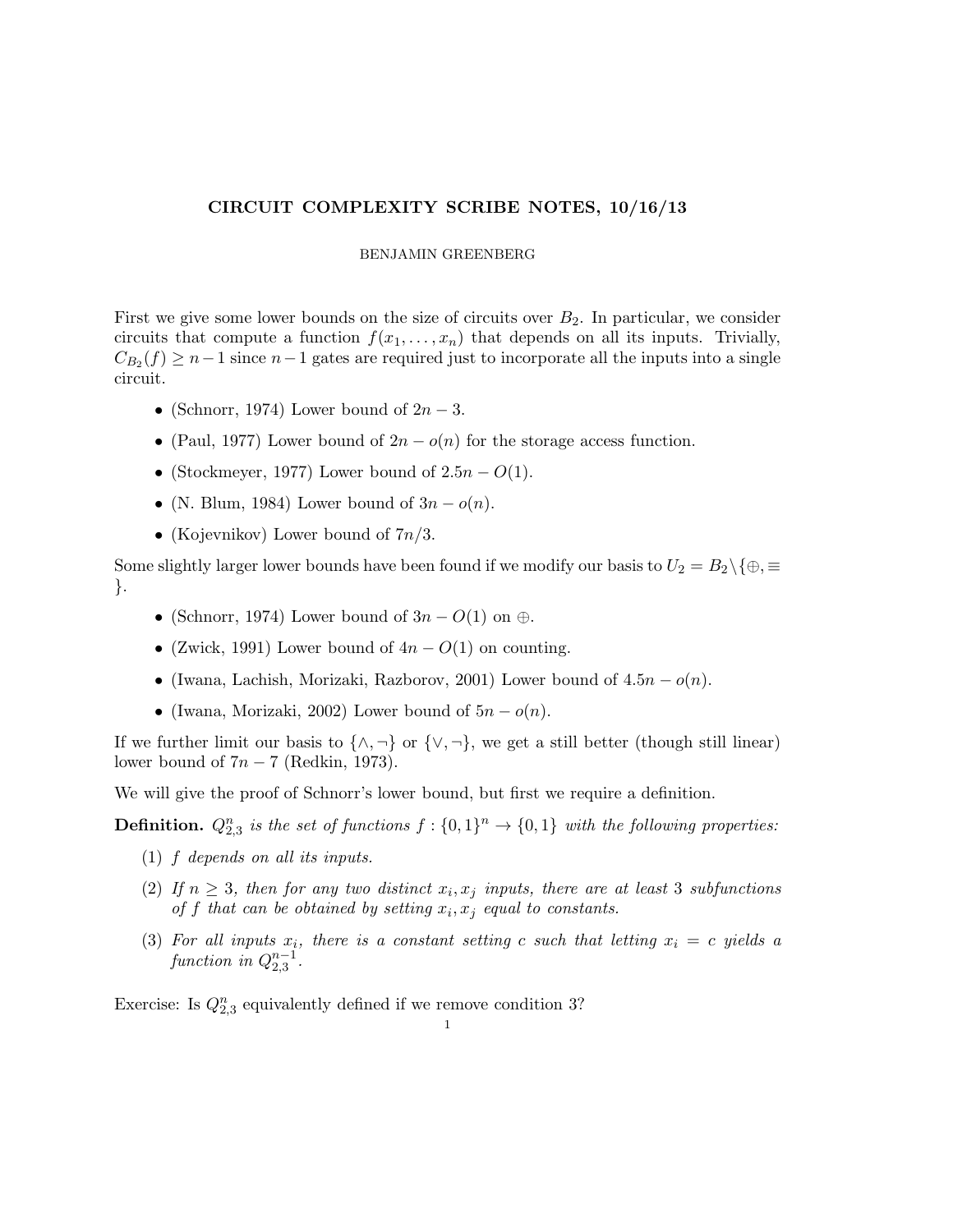## CIRCUIT COMPLEXITY SCRIBE NOTES, 10/16/13

## BENJAMIN GREENBERG

First we give some lower bounds on the size of circuits over  $B_2$ . In particular, we consider circuits that compute a function  $f(x_1, \ldots, x_n)$  that depends on all its inputs. Trivially,  $C_{B_2}(f) \geq n-1$  since  $n-1$  gates are required just to incorporate all the inputs into a single circuit.

- (Schnorr, 1974) Lower bound of  $2n-3$ .
- (Paul, 1977) Lower bound of  $2n o(n)$  for the storage access function.
- (Stockmeyer, 1977) Lower bound of  $2.5n O(1)$ .
- (N. Blum, 1984) Lower bound of  $3n o(n)$ .
- (Kojevnikov) Lower bound of  $7n/3$ .

Some slightly larger lower bounds have been found if we modify our basis to  $U_2 = B_2 \setminus \{\oplus,\equiv\}$ }.

- (Schnorr, 1974) Lower bound of  $3n O(1)$  on  $\oplus$ .
- (Zwick, 1991) Lower bound of  $4n O(1)$  on counting.
- (Iwana, Lachish, Morizaki, Razborov, 2001) Lower bound of  $4.5n o(n)$ .
- (Iwana, Morizaki, 2002) Lower bound of  $5n o(n)$ .

If we further limit our basis to  $\{\wedge, \neg\}$  or  $\{\vee, \neg\}$ , we get a still better (though still linear) lower bound of  $7n - 7$  (Redkin, 1973).

We will give the proof of Schnorr's lower bound, but first we require a definition.

**Definition.**  $Q_{2,3}^n$  is the set of functions  $f: \{0,1\}^n \to \{0,1\}$  with the following properties:

- (1) f *depends on all its inputs.*
- (2) If  $n \geq 3$ , then for any two distinct  $x_i, x_j$  inputs, there are at least 3 subfunctions *of*  $f$  that can be obtained by setting  $x_i, x_j$  *equal to constants.*
- $(3)$  *For all inputs*  $x_i$ , there is a constant setting c such that letting  $x_i = c$  yields a  $function \in Q_{2,3}^{n-1}$ .

Exercise: Is  $Q_{2,3}^n$  equivalently defined if we remove condition 3?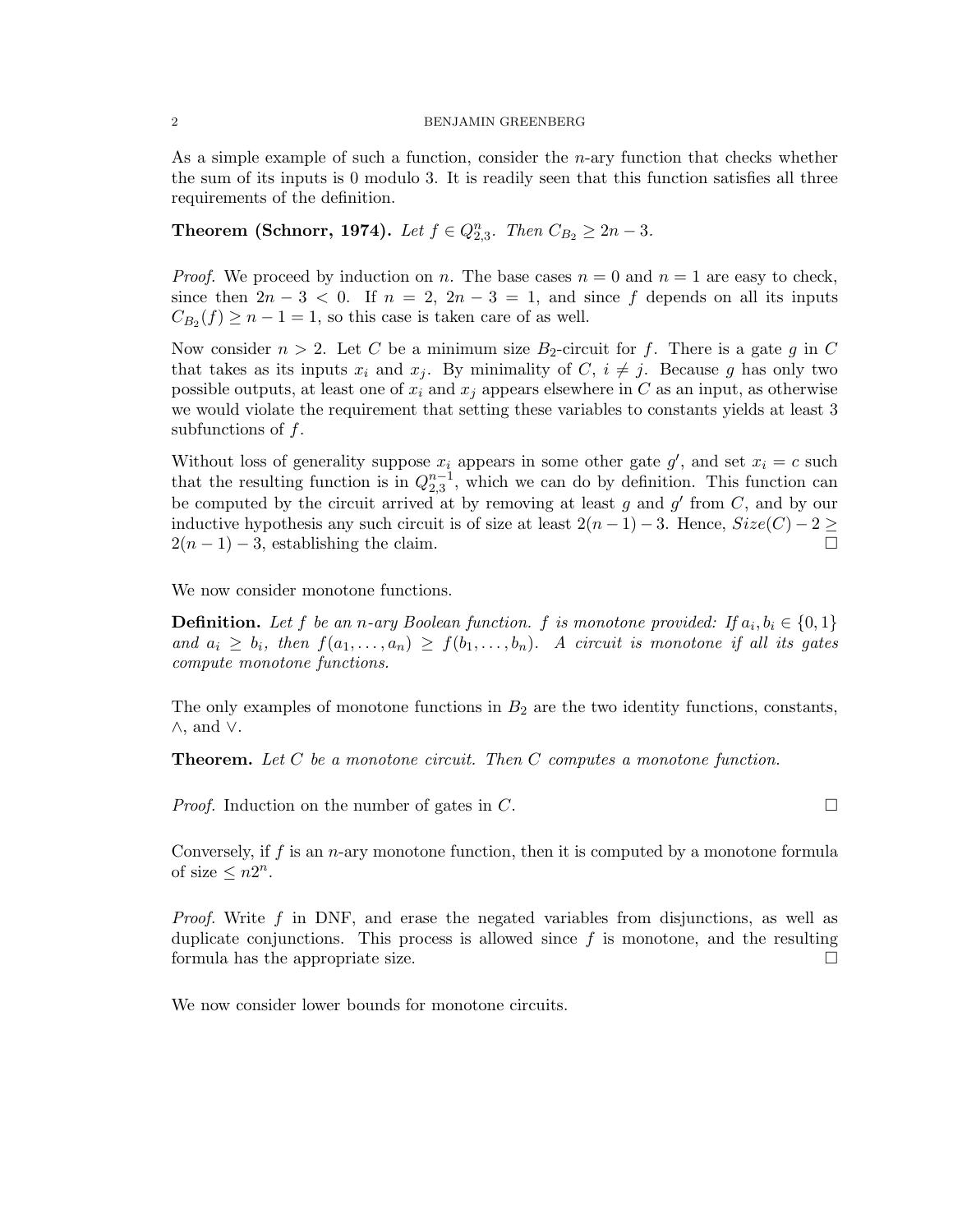## 2 BENJAMIN GREENBERG

As a simple example of such a function, consider the n-ary function that checks whether the sum of its inputs is 0 modulo 3. It is readily seen that this function satisfies all three requirements of the definition.

**Theorem (Schnorr, 1974).** *Let*  $f \in Q_{2,3}^n$ . *Then*  $C_{B_2} \geq 2n - 3$ *.* 

*Proof.* We proceed by induction on n. The base cases  $n = 0$  and  $n = 1$  are easy to check, since then  $2n-3 < 0$ . If  $n = 2$ ,  $2n-3 = 1$ , and since f depends on all its inputs  $C_{B_2}(f) \geq n-1=1$ , so this case is taken care of as well.

Now consider  $n > 2$ . Let C be a minimum size B<sub>2</sub>-circuit for f. There is a gate g in C that takes as its inputs  $x_i$  and  $x_j$ . By minimality of  $C, i \neq j$ . Because g has only two possible outputs, at least one of  $x_i$  and  $x_j$  appears elsewhere in C as an input, as otherwise we would violate the requirement that setting these variables to constants yields at least 3 subfunctions of f.

Without loss of generality suppose  $x_i$  appears in some other gate  $g'$ , and set  $x_i = c$  such that the resulting function is in  $Q_{2,3}^{n-1}$ , which we can do by definition. This function can be computed by the circuit arrived at by removing at least g and  $g'$  from C, and by our inductive hypothesis any such circuit is of size at least  $2(n-1) - 3$ . Hence,  $Size(C) - 2 \geq 1$  $2(n-1) - 3$ , establishing the claim.

We now consider monotone functions.

**Definition.** Let f be an n-ary Boolean function. f is monotone provided: If  $a_i, b_i \in \{0, 1\}$ and  $a_i \geq b_i$ , then  $f(a_1, \ldots, a_n) \geq f(b_1, \ldots, b_n)$ . A circuit is monotone if all its gates *compute monotone functions.*

The only examples of monotone functions in  $B_2$  are the two identity functions, constants, ∧, and ∨.

Theorem. *Let* C *be a monotone circuit. Then* C *computes a monotone function.*

*Proof.* Induction on the number of gates in C.

Conversely, if  $f$  is an *n*-ary monotone function, then it is computed by a monotone formula of size  $\leq n2^n$ .

*Proof.* Write f in DNF, and erase the negated variables from disjunctions, as well as duplicate conjunctions. This process is allowed since  $f$  is monotone, and the resulting formula has the appropriate size.

We now consider lower bounds for monotone circuits.